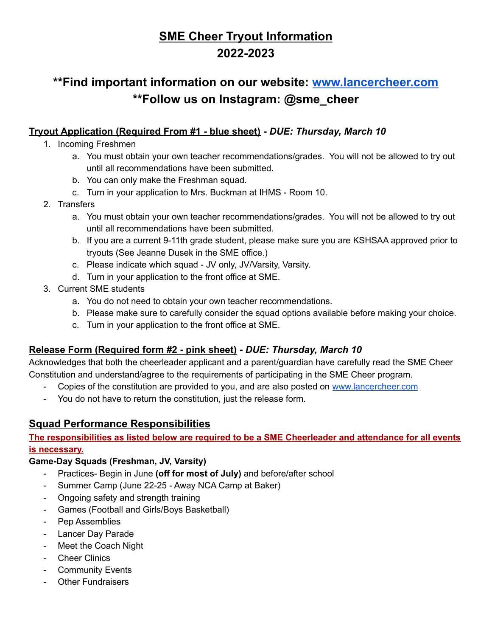# **SME Cheer Tryout Information 2022-2023**

# **\*\*Find important information on our website: [www.lancercheer.com](http://www.lancercheer.com) \*\*Follow us on Instagram: @sme\_cheer**

### **Tryout Application (Required From #1 - blue sheet) -** *DUE: Thursday, March 10*

- 1. Incoming Freshmen
	- a. You must obtain your own teacher recommendations/grades. You will not be allowed to try out until all recommendations have been submitted.
	- b. You can only make the Freshman squad.
	- c. Turn in your application to Mrs. Buckman at IHMS Room 10.

#### 2. Transfers

- a. You must obtain your own teacher recommendations/grades. You will not be allowed to try out until all recommendations have been submitted.
- b. If you are a current 9-11th grade student, please make sure you are KSHSAA approved prior to tryouts (See Jeanne Dusek in the SME office.)
- c. Please indicate which squad JV only, JV/Varsity, Varsity.
- d. Turn in your application to the front office at SME.
- 3. Current SME students
	- a. You do not need to obtain your own teacher recommendations.
	- b. Please make sure to carefully consider the squad options available before making your choice.
	- c. Turn in your application to the front office at SME.

## **Release Form (Required form #2 - pink sheet) -** *DUE: Thursday, March 10*

Acknowledges that both the cheerleader applicant and a parent/guardian have carefully read the SME Cheer Constitution and understand/agree to the requirements of participating in the SME Cheer program.

- Copies of the constitution are provided to you, and are also posted on [www.lancercheer.com](http://www.lancercheer.com)
- You do not have to return the constitution, just the release form.

## **Squad Performance Responsibilities**

**The responsibilities as listed below are required to be a SME Cheerleader and attendance for all events is necessary.**

#### **Game-Day Squads (Freshman, JV, Varsity)**

- Practices- Begin in June **(off for most of July)** and before/after school
- Summer Camp (June 22-25 Away NCA Camp at Baker)
- Ongoing safety and strength training
- Games (Football and Girls/Boys Basketball)
- Pep Assemblies
- Lancer Day Parade
- Meet the Coach Night
- Cheer Clinics
- Community Events
- **Other Fundraisers**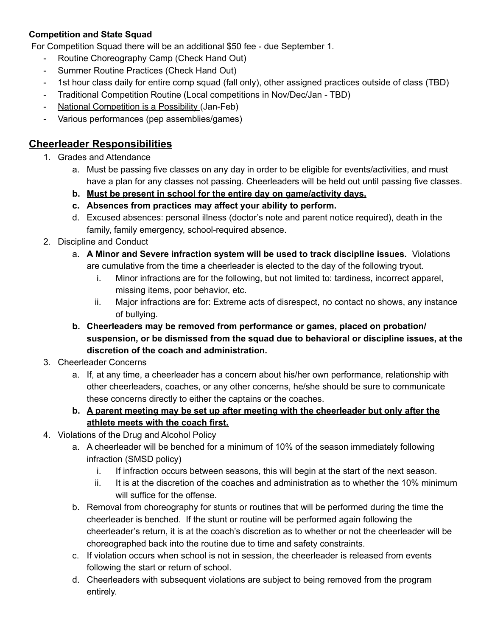#### **Competition and State Squad**

For Competition Squad there will be an additional \$50 fee - due September 1.

- Routine Choreography Camp (Check Hand Out)
- Summer Routine Practices (Check Hand Out)
- 1st hour class daily for entire comp squad (fall only), other assigned practices outside of class (TBD)
- Traditional Competition Routine (Local competitions in Nov/Dec/Jan TBD)
- National Competition is a Possibility (Jan-Feb)
- Various performances (pep assemblies/games)

### **Cheerleader Responsibilities**

- 1. Grades and Attendance
	- a. Must be passing five classes on any day in order to be eligible for events/activities, and must have a plan for any classes not passing. Cheerleaders will be held out until passing five classes.
	- **b. Must be present in school for the entire day on game/activity days.**
	- **c. Absences from practices may affect your ability to perform.**
	- d. Excused absences: personal illness (doctor's note and parent notice required), death in the family, family emergency, school-required absence.
- 2. Discipline and Conduct
	- a. **A Minor and Severe infraction system will be used to track discipline issues.** Violations are cumulative from the time a cheerleader is elected to the day of the following tryout.
		- i. Minor infractions are for the following, but not limited to: tardiness, incorrect apparel, missing items, poor behavior, etc.
		- ii. Major infractions are for: Extreme acts of disrespect, no contact no shows, any instance of bullying.
	- **b. Cheerleaders may be removed from performance or games, placed on probation/ suspension, or be dismissed from the squad due to behavioral or discipline issues, at the discretion of the coach and administration.**
- 3. Cheerleader Concerns
	- a. If, at any time, a cheerleader has a concern about his/her own performance, relationship with other cheerleaders, coaches, or any other concerns, he/she should be sure to communicate these concerns directly to either the captains or the coaches.
	- **b. A parent meeting may be set up after meeting with the cheerleader but only after the athlete meets with the coach first.**
- 4. Violations of the Drug and Alcohol Policy
	- a. A cheerleader will be benched for a minimum of 10% of the season immediately following infraction (SMSD policy)
		- i. If infraction occurs between seasons, this will begin at the start of the next season.
		- ii. It is at the discretion of the coaches and administration as to whether the 10% minimum will suffice for the offense.
	- b. Removal from choreography for stunts or routines that will be performed during the time the cheerleader is benched. If the stunt or routine will be performed again following the cheerleader's return, it is at the coach's discretion as to whether or not the cheerleader will be choreographed back into the routine due to time and safety constraints.
	- c. If violation occurs when school is not in session, the cheerleader is released from events following the start or return of school.
	- d. Cheerleaders with subsequent violations are subject to being removed from the program entirely.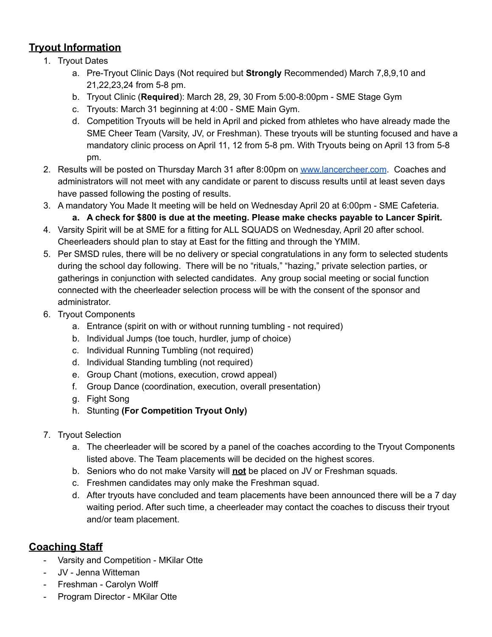# **Tryout Information**

- 1. Tryout Dates
	- a. Pre-Tryout Clinic Days (Not required but **Strongly** Recommended) March 7,8,9,10 and 21,22,23,24 from 5-8 pm.
	- b. Tryout Clinic (**Required**): March 28, 29, 30 From 5:00-8:00pm SME Stage Gym
	- c. Tryouts: March 31 beginning at 4:00 SME Main Gym.
	- d. Competition Tryouts will be held in April and picked from athletes who have already made the SME Cheer Team (Varsity, JV, or Freshman). These tryouts will be stunting focused and have a mandatory clinic process on April 11, 12 from 5-8 pm. With Tryouts being on April 13 from 5-8 pm.
- 2. Results will be posted on Thursday March 31 after 8:00pm on [www.lancercheer.com](http://www.lancercheer.com). Coaches and administrators will not meet with any candidate or parent to discuss results until at least seven days have passed following the posting of results.
- 3. A mandatory You Made It meeting will be held on Wednesday April 20 at 6:00pm SME Cafeteria.
	- **a. A check for \$800 is due at the meeting. Please make checks payable to Lancer Spirit.**
- 4. Varsity Spirit will be at SME for a fitting for ALL SQUADS on Wednesday, April 20 after school. Cheerleaders should plan to stay at East for the fitting and through the YMIM.
- 5. Per SMSD rules, there will be no delivery or special congratulations in any form to selected students during the school day following. There will be no "rituals," "hazing," private selection parties, or gatherings in conjunction with selected candidates. Any group social meeting or social function connected with the cheerleader selection process will be with the consent of the sponsor and administrator.
- 6. Tryout Components
	- a. Entrance (spirit on with or without running tumbling not required)
	- b. Individual Jumps (toe touch, hurdler, jump of choice)
	- c. Individual Running Tumbling (not required)
	- d. Individual Standing tumbling (not required)
	- e. Group Chant (motions, execution, crowd appeal)
	- f. Group Dance (coordination, execution, overall presentation)
	- g. Fight Song
	- h. Stunting **(For Competition Tryout Only)**
- 7. Tryout Selection
	- a. The cheerleader will be scored by a panel of the coaches according to the Tryout Components listed above. The Team placements will be decided on the highest scores.
	- b. Seniors who do not make Varsity will **not** be placed on JV or Freshman squads.
	- c. Freshmen candidates may only make the Freshman squad.
	- d. After tryouts have concluded and team placements have been announced there will be a 7 day waiting period. After such time, a cheerleader may contact the coaches to discuss their tryout and/or team placement.

# **Coaching Staff**

- Varsity and Competition MKilar Otte
- JV Jenna Witteman
- Freshman Carolyn Wolff
- Program Director MKilar Otte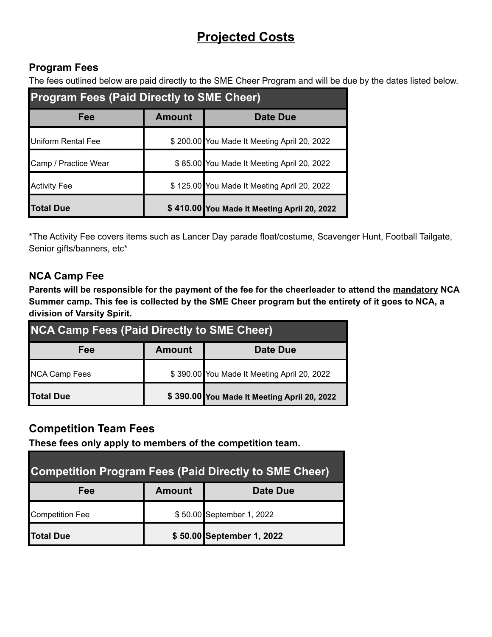# **Projected Costs**

## **Program Fees**

The fees outlined below are paid directly to the SME Cheer Program and will be due by the dates listed below.

| <b>Program Fees (Paid Directly to SME Cheer)</b> |               |                                             |  |  |  |
|--------------------------------------------------|---------------|---------------------------------------------|--|--|--|
| Fee                                              | <b>Amount</b> | Date Due                                    |  |  |  |
| Uniform Rental Fee                               |               | \$200.00 You Made It Meeting April 20, 2022 |  |  |  |
| Camp / Practice Wear                             |               | \$85.00 You Made It Meeting April 20, 2022  |  |  |  |
| <b>Activity Fee</b>                              |               | \$125.00 You Made It Meeting April 20, 2022 |  |  |  |
| <b>Total Due</b>                                 |               | \$410.00 You Made It Meeting April 20, 2022 |  |  |  |

\*The Activity Fee covers items such as Lancer Day parade float/costume, Scavenger Hunt, Football Tailgate, Senior gifts/banners, etc\*

## **NCA Camp Fee**

Parents will be responsible for the payment of the fee for the cheerleader to attend the mandatory NCA Summer camp. This fee is collected by the SME Cheer program but the entirety of it goes to NCA, a **division of Varsity Spirit.**

| <b>NCA Camp Fees (Paid Directly to SME Cheer)</b> |               |                                             |  |  |
|---------------------------------------------------|---------------|---------------------------------------------|--|--|
| Fee                                               | <b>Amount</b> | Date Due                                    |  |  |
| <b>NCA Camp Fees</b>                              |               | \$390.00 You Made It Meeting April 20, 2022 |  |  |
| <b>Total Due</b>                                  |               | \$390.00 You Made It Meeting April 20, 2022 |  |  |

# **Competition Team Fees**

**These fees only apply to members of the competition team.**

| <b>Competition Program Fees (Paid Directly to SME Cheer)</b> |               |                           |  |  |  |
|--------------------------------------------------------------|---------------|---------------------------|--|--|--|
| Fee                                                          | <b>Amount</b> | Date Due                  |  |  |  |
| <b>Competition Fee</b>                                       |               | \$50.00 September 1, 2022 |  |  |  |
| <b>Total Due</b>                                             |               | \$50.00 September 1, 2022 |  |  |  |